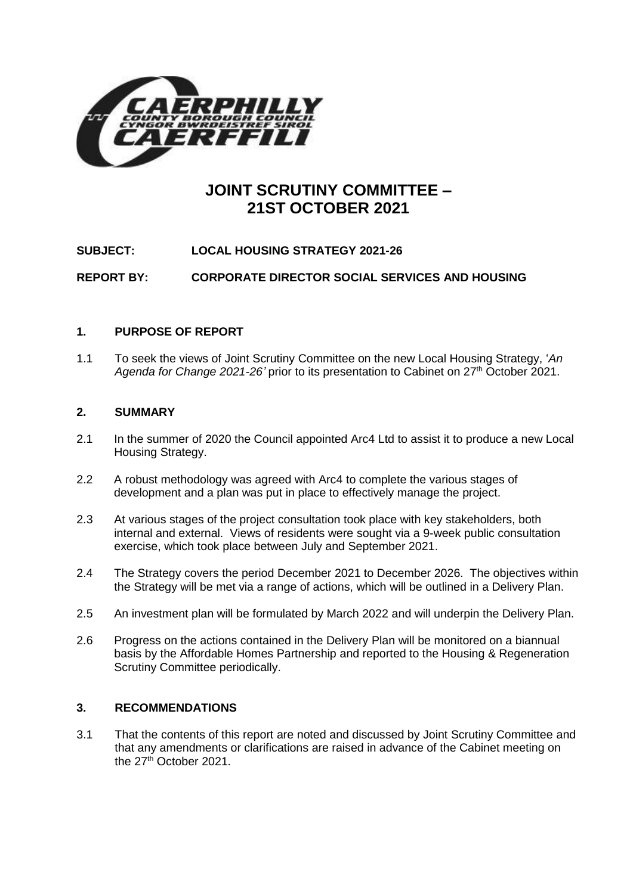

# **JOINT SCRUTINY COMMITTEE – 21ST OCTOBER 2021**

**SUBJECT: LOCAL HOUSING STRATEGY 2021-26**

**REPORT BY: CORPORATE DIRECTOR SOCIAL SERVICES AND HOUSING**

## **1. PURPOSE OF REPORT**

1.1 To seek the views of Joint Scrutiny Committee on the new Local Housing Strategy, '*An Agenda for Change 2021-26'* prior to its presentation to Cabinet on 27th October 2021.

### **2. SUMMARY**

- 2.1 In the summer of 2020 the Council appointed Arc4 Ltd to assist it to produce a new Local Housing Strategy.
- 2.2 A robust methodology was agreed with Arc4 to complete the various stages of development and a plan was put in place to effectively manage the project.
- 2.3 At various stages of the project consultation took place with key stakeholders, both internal and external. Views of residents were sought via a 9-week public consultation exercise, which took place between July and September 2021.
- 2.4 The Strategy covers the period December 2021 to December 2026. The objectives within the Strategy will be met via a range of actions, which will be outlined in a Delivery Plan.
- 2.5 An investment plan will be formulated by March 2022 and will underpin the Delivery Plan.
- 2.6 Progress on the actions contained in the Delivery Plan will be monitored on a biannual basis by the Affordable Homes Partnership and reported to the Housing & Regeneration Scrutiny Committee periodically.

## **3. RECOMMENDATIONS**

3.1 That the contents of this report are noted and discussed by Joint Scrutiny Committee and that any amendments or clarifications are raised in advance of the Cabinet meeting on the 27<sup>th</sup> October 2021.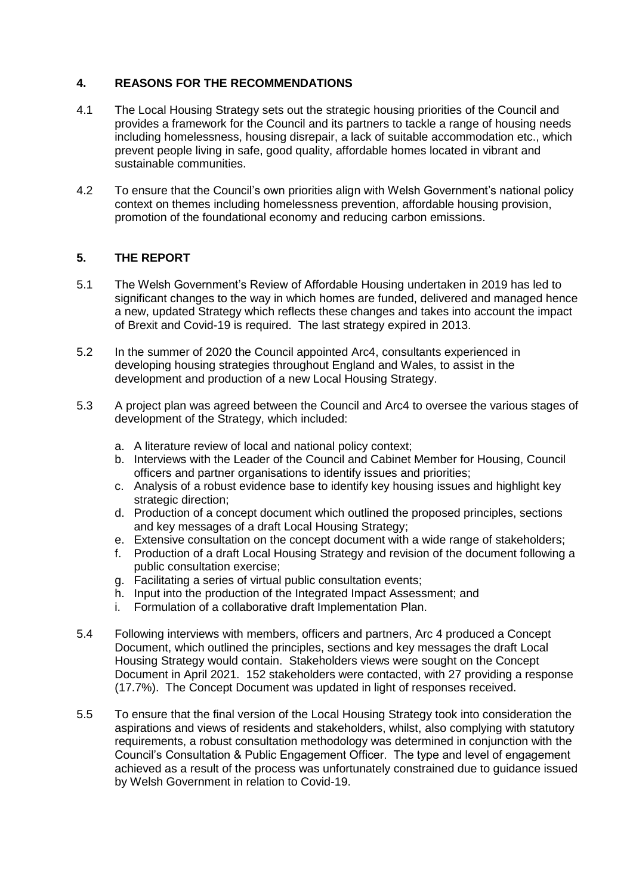## **4. REASONS FOR THE RECOMMENDATIONS**

- 4.1 The Local Housing Strategy sets out the strategic housing priorities of the Council and provides a framework for the Council and its partners to tackle a range of housing needs including homelessness, housing disrepair, a lack of suitable accommodation etc., which prevent people living in safe, good quality, affordable homes located in vibrant and sustainable communities.
- 4.2 To ensure that the Council's own priorities align with Welsh Government's national policy context on themes including homelessness prevention, affordable housing provision, promotion of the foundational economy and reducing carbon emissions.

## **5. THE REPORT**

- 5.1 The Welsh Government's Review of Affordable Housing undertaken in 2019 has led to significant changes to the way in which homes are funded, delivered and managed hence a new, updated Strategy which reflects these changes and takes into account the impact of Brexit and Covid-19 is required. The last strategy expired in 2013.
- 5.2 In the summer of 2020 the Council appointed Arc4, consultants experienced in developing housing strategies throughout England and Wales, to assist in the development and production of a new Local Housing Strategy.
- 5.3 A project plan was agreed between the Council and Arc4 to oversee the various stages of development of the Strategy, which included:
	- a. A literature review of local and national policy context;
	- b. Interviews with the Leader of the Council and Cabinet Member for Housing, Council officers and partner organisations to identify issues and priorities;
	- c. Analysis of a robust evidence base to identify key housing issues and highlight key strategic direction;
	- d. Production of a concept document which outlined the proposed principles, sections and key messages of a draft Local Housing Strategy;
	- e. Extensive consultation on the concept document with a wide range of stakeholders;
	- f. Production of a draft Local Housing Strategy and revision of the document following a public consultation exercise;
	- g. Facilitating a series of virtual public consultation events;
	- h. Input into the production of the Integrated Impact Assessment; and
	- i. Formulation of a collaborative draft Implementation Plan.
- 5.4 Following interviews with members, officers and partners, Arc 4 produced a Concept Document, which outlined the principles, sections and key messages the draft Local Housing Strategy would contain. Stakeholders views were sought on the Concept Document in April 2021. 152 stakeholders were contacted, with 27 providing a response (17.7%). The Concept Document was updated in light of responses received.
- 5.5 To ensure that the final version of the Local Housing Strategy took into consideration the aspirations and views of residents and stakeholders, whilst, also complying with statutory requirements, a robust consultation methodology was determined in conjunction with the Council's Consultation & Public Engagement Officer. The type and level of engagement achieved as a result of the process was unfortunately constrained due to guidance issued by Welsh Government in relation to Covid-19.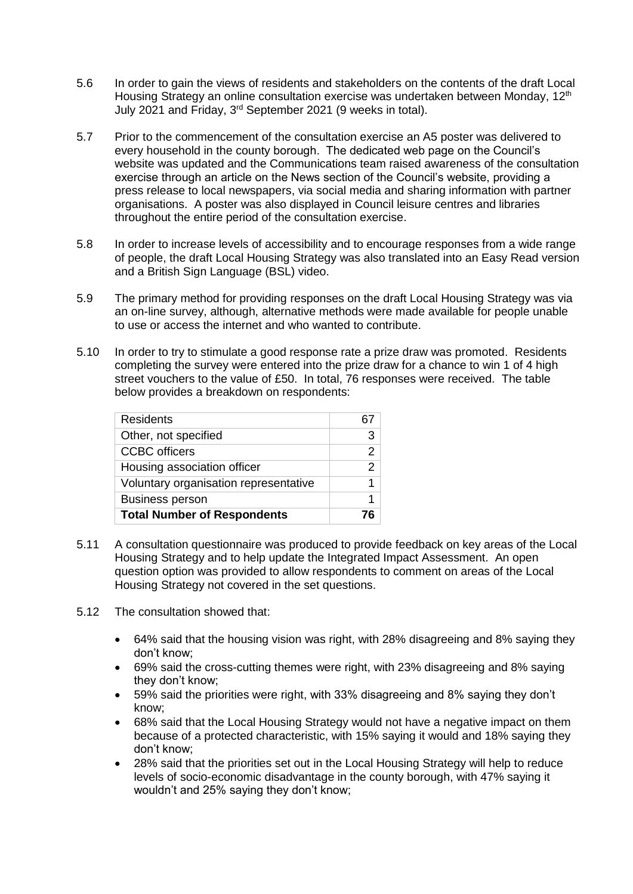- 5.6 In order to gain the views of residents and stakeholders on the contents of the draft Local Housing Strategy an online consultation exercise was undertaken between Monday, 12<sup>th</sup> July 2021 and Friday, 3rd September 2021 (9 weeks in total).
- 5.7 Prior to the commencement of the consultation exercise an A5 poster was delivered to every household in the county borough. The dedicated web page on the Council's website was updated and the Communications team raised awareness of the consultation exercise through an article on the News section of the Council's website, providing a press release to local newspapers, via social media and sharing information with partner organisations. A poster was also displayed in Council leisure centres and libraries throughout the entire period of the consultation exercise.
- 5.8 In order to increase levels of accessibility and to encourage responses from a wide range of people, the draft Local Housing Strategy was also translated into an Easy Read version and a British Sign Language (BSL) video.
- 5.9 The primary method for providing responses on the draft Local Housing Strategy was via an on-line survey, although, alternative methods were made available for people unable to use or access the internet and who wanted to contribute.
- 5.10 In order to try to stimulate a good response rate a prize draw was promoted. Residents completing the survey were entered into the prize draw for a chance to win 1 of 4 high street vouchers to the value of £50. In total, 76 responses were received. The table below provides a breakdown on respondents:

| <b>Residents</b>                      |               |
|---------------------------------------|---------------|
| Other, not specified                  | 3             |
| <b>CCBC</b> officers                  | 2             |
| Housing association officer           | $\mathcal{P}$ |
| Voluntary organisation representative |               |
| <b>Business person</b>                |               |
| <b>Total Number of Respondents</b>    |               |
|                                       |               |

- 5.11 A consultation questionnaire was produced to provide feedback on key areas of the Local Housing Strategy and to help update the Integrated Impact Assessment. An open question option was provided to allow respondents to comment on areas of the Local Housing Strategy not covered in the set questions.
- 5.12 The consultation showed that:
	- 64% said that the housing vision was right, with 28% disagreeing and 8% saying they don't know;
	- 69% said the cross-cutting themes were right, with 23% disagreeing and 8% saying they don't know;
	- 59% said the priorities were right, with 33% disagreeing and 8% saying they don't know;
	- 68% said that the Local Housing Strategy would not have a negative impact on them because of a protected characteristic, with 15% saying it would and 18% saying they don't know;
	- 28% said that the priorities set out in the Local Housing Strategy will help to reduce levels of socio-economic disadvantage in the county borough, with 47% saying it wouldn't and 25% saying they don't know;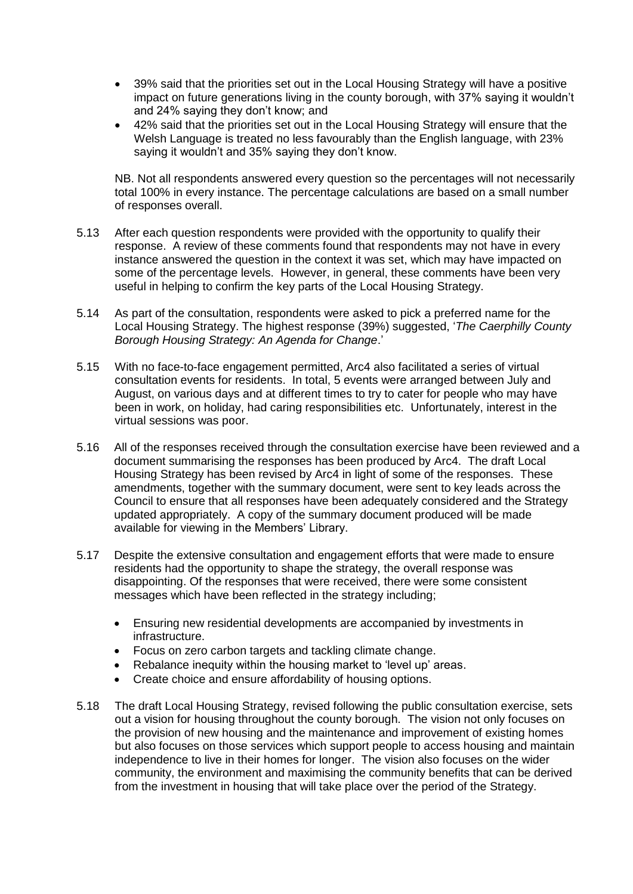- 39% said that the priorities set out in the Local Housing Strategy will have a positive impact on future generations living in the county borough, with 37% saying it wouldn't and 24% saying they don't know; and
- 42% said that the priorities set out in the Local Housing Strategy will ensure that the Welsh Language is treated no less favourably than the English language, with 23% saying it wouldn't and 35% saying they don't know.

NB. Not all respondents answered every question so the percentages will not necessarily total 100% in every instance. The percentage calculations are based on a small number of responses overall.

- 5.13 After each question respondents were provided with the opportunity to qualify their response. A review of these comments found that respondents may not have in every instance answered the question in the context it was set, which may have impacted on some of the percentage levels. However, in general, these comments have been very useful in helping to confirm the key parts of the Local Housing Strategy.
- 5.14 As part of the consultation, respondents were asked to pick a preferred name for the Local Housing Strategy. The highest response (39%) suggested, '*The Caerphilly County Borough Housing Strategy: An Agenda for Change*.'
- 5.15 With no face-to-face engagement permitted, Arc4 also facilitated a series of virtual consultation events for residents. In total, 5 events were arranged between July and August, on various days and at different times to try to cater for people who may have been in work, on holiday, had caring responsibilities etc. Unfortunately, interest in the virtual sessions was poor.
- 5.16 All of the responses received through the consultation exercise have been reviewed and a document summarising the responses has been produced by Arc4. The draft Local Housing Strategy has been revised by Arc4 in light of some of the responses. These amendments, together with the summary document, were sent to key leads across the Council to ensure that all responses have been adequately considered and the Strategy updated appropriately. A copy of the summary document produced will be made available for viewing in the Members' Library.
- 5.17 Despite the extensive consultation and engagement efforts that were made to ensure residents had the opportunity to shape the strategy, the overall response was disappointing. Of the responses that were received, there were some consistent messages which have been reflected in the strategy including;
	- Ensuring new residential developments are accompanied by investments in infrastructure.
	- Focus on zero carbon targets and tackling climate change.
	- Rebalance inequity within the housing market to 'level up' areas.
	- Create choice and ensure affordability of housing options.
- 5.18 The draft Local Housing Strategy, revised following the public consultation exercise, sets out a vision for housing throughout the county borough. The vision not only focuses on the provision of new housing and the maintenance and improvement of existing homes but also focuses on those services which support people to access housing and maintain independence to live in their homes for longer. The vision also focuses on the wider community, the environment and maximising the community benefits that can be derived from the investment in housing that will take place over the period of the Strategy.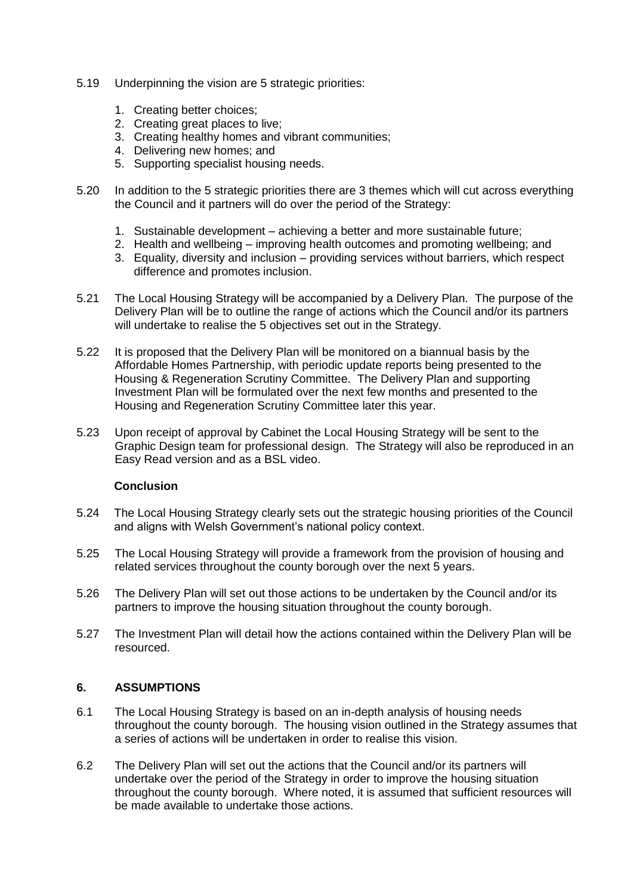- 5.19 Underpinning the vision are 5 strategic priorities:
	- 1. Creating better choices;
	- 2. Creating great places to live;
	- 3. Creating healthy homes and vibrant communities;
	- 4. Delivering new homes; and
	- 5. Supporting specialist housing needs.
- 5.20 In addition to the 5 strategic priorities there are 3 themes which will cut across everything the Council and it partners will do over the period of the Strategy:
	- 1. Sustainable development achieving a better and more sustainable future;
	- 2. Health and wellbeing improving health outcomes and promoting wellbeing; and
	- 3. Equality, diversity and inclusion providing services without barriers, which respect difference and promotes inclusion.
- 5.21 The Local Housing Strategy will be accompanied by a Delivery Plan. The purpose of the Delivery Plan will be to outline the range of actions which the Council and/or its partners will undertake to realise the 5 objectives set out in the Strategy.
- 5.22 It is proposed that the Delivery Plan will be monitored on a biannual basis by the Affordable Homes Partnership, with periodic update reports being presented to the Housing & Regeneration Scrutiny Committee. The Delivery Plan and supporting Investment Plan will be formulated over the next few months and presented to the Housing and Regeneration Scrutiny Committee later this year.
- 5.23 Upon receipt of approval by Cabinet the Local Housing Strategy will be sent to the Graphic Design team for professional design. The Strategy will also be reproduced in an Easy Read version and as a BSL video.

#### **Conclusion**

- 5.24 The Local Housing Strategy clearly sets out the strategic housing priorities of the Council and aligns with Welsh Government's national policy context.
- 5.25 The Local Housing Strategy will provide a framework from the provision of housing and related services throughout the county borough over the next 5 years.
- 5.26 The Delivery Plan will set out those actions to be undertaken by the Council and/or its partners to improve the housing situation throughout the county borough.
- 5.27 The Investment Plan will detail how the actions contained within the Delivery Plan will be resourced.

### **6. ASSUMPTIONS**

- 6.1 The Local Housing Strategy is based on an in-depth analysis of housing needs throughout the county borough. The housing vision outlined in the Strategy assumes that a series of actions will be undertaken in order to realise this vision.
- 6.2 The Delivery Plan will set out the actions that the Council and/or its partners will undertake over the period of the Strategy in order to improve the housing situation throughout the county borough. Where noted, it is assumed that sufficient resources will be made available to undertake those actions.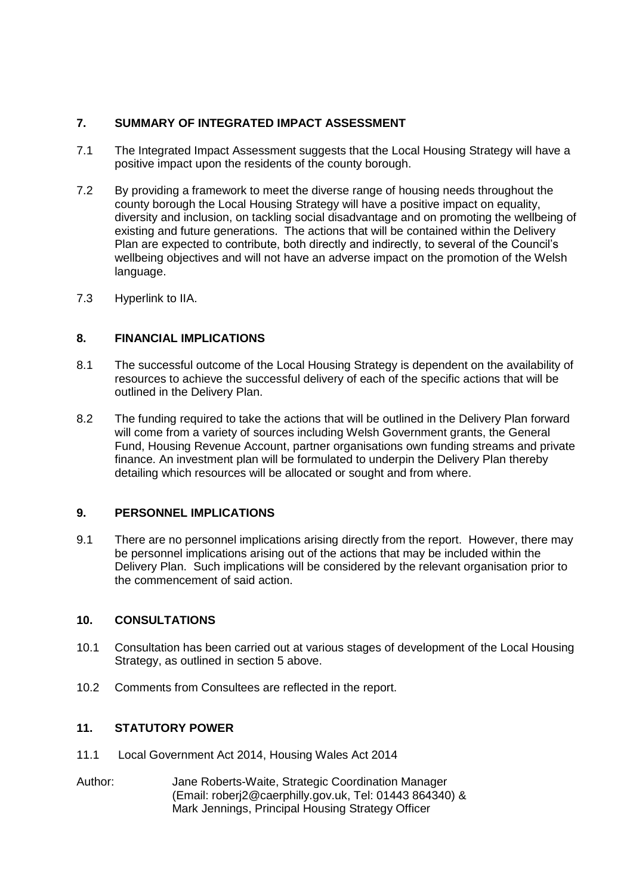## **7. SUMMARY OF INTEGRATED IMPACT ASSESSMENT**

- 7.1 The Integrated Impact Assessment suggests that the Local Housing Strategy will have a positive impact upon the residents of the county borough.
- 7.2 By providing a framework to meet the diverse range of housing needs throughout the county borough the Local Housing Strategy will have a positive impact on equality, diversity and inclusion, on tackling social disadvantage and on promoting the wellbeing of existing and future generations. The actions that will be contained within the Delivery Plan are expected to contribute, both directly and indirectly, to several of the Council's wellbeing objectives and will not have an adverse impact on the promotion of the Welsh language.
- 7.3 [Hyperlink to IIA.](https://www.caerphilly.gov.uk/CaerphillyDocs/IIA/iia-form-strategy-development-caerphilly-homes)

### **8. FINANCIAL IMPLICATIONS**

- 8.1 The successful outcome of the Local Housing Strategy is dependent on the availability of resources to achieve the successful delivery of each of the specific actions that will be outlined in the Delivery Plan.
- 8.2 The funding required to take the actions that will be outlined in the Delivery Plan forward will come from a variety of sources including Welsh Government grants, the General Fund, Housing Revenue Account, partner organisations own funding streams and private finance. An investment plan will be formulated to underpin the Delivery Plan thereby detailing which resources will be allocated or sought and from where.

### **9. PERSONNEL IMPLICATIONS**

9.1 There are no personnel implications arising directly from the report. However, there may be personnel implications arising out of the actions that may be included within the Delivery Plan. Such implications will be considered by the relevant organisation prior to the commencement of said action.

### **10. CONSULTATIONS**

- 10.1 Consultation has been carried out at various stages of development of the Local Housing Strategy, as outlined in section 5 above.
- 10.2 Comments from Consultees are reflected in the report.

### **11. STATUTORY POWER**

- 11.1 Local Government Act 2014, Housing Wales Act 2014
- Author: Jane Roberts-Waite, Strategic Coordination Manager (Email: [roberj2@caerphilly.gov.uk,](mailto:roberj2@caerphilly.gov.uk) Tel: 01443 864340) & Mark Jennings, Principal Housing Strategy Officer